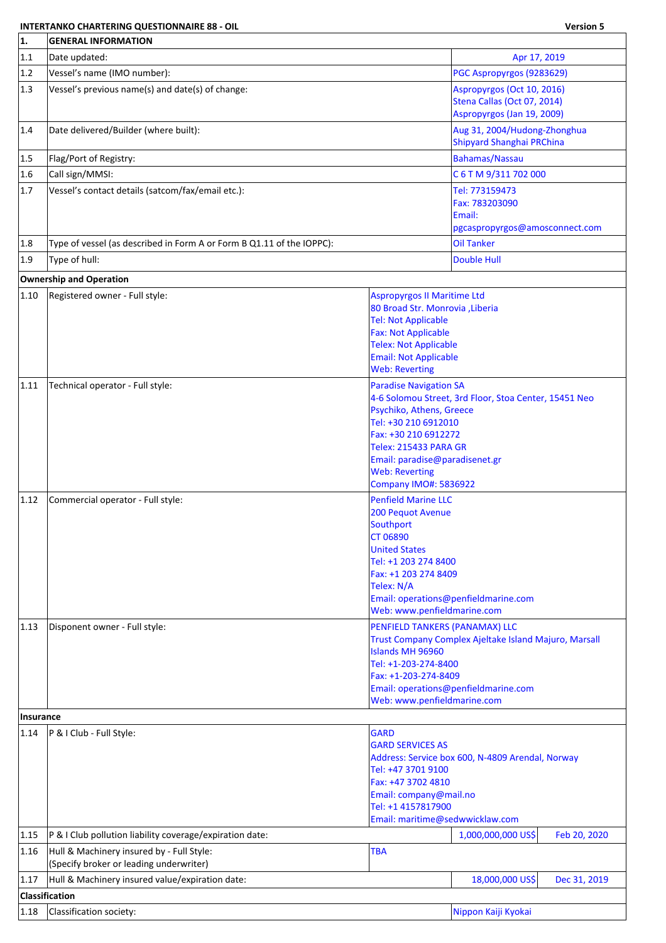## **INTERTANKO CHARTERING QUESTIONNAIRE 88 - OIL Version 5**

٦

| 1.               | <b>GENERAL INFORMATION</b>                                                           |                                                                                                                                                                                                                             |                                                                                               |              |
|------------------|--------------------------------------------------------------------------------------|-----------------------------------------------------------------------------------------------------------------------------------------------------------------------------------------------------------------------------|-----------------------------------------------------------------------------------------------|--------------|
| 1.1              | Date updated:                                                                        |                                                                                                                                                                                                                             | Apr 17, 2019                                                                                  |              |
| 1.2              | Vessel's name (IMO number):                                                          |                                                                                                                                                                                                                             | PGC Aspropyrgos (9283629)                                                                     |              |
| 1.3              | Vessel's previous name(s) and date(s) of change:                                     |                                                                                                                                                                                                                             | Aspropyrgos (Oct 10, 2016)<br>Stena Callas (Oct 07, 2014)<br>Aspropyrgos (Jan 19, 2009)       |              |
| 1.4              | Date delivered/Builder (where built):                                                |                                                                                                                                                                                                                             | Aug 31, 2004/Hudong-Zhonghua<br>Shipyard Shanghai PRChina                                     |              |
| 1.5              | Flag/Port of Registry:                                                               |                                                                                                                                                                                                                             | <b>Bahamas/Nassau</b>                                                                         |              |
| 1.6              | Call sign/MMSI:                                                                      |                                                                                                                                                                                                                             | C 6 T M 9/311 702 000                                                                         |              |
| 1.7              | Vessel's contact details (satcom/fax/email etc.):                                    |                                                                                                                                                                                                                             | Tel: 773159473<br>Fax: 783203090<br>Email:<br>pgcaspropyrgos@amosconnect.com                  |              |
| 1.8              | Type of vessel (as described in Form A or Form B Q1.11 of the IOPPC):                |                                                                                                                                                                                                                             | <b>Oil Tanker</b>                                                                             |              |
| 1.9              | Type of hull:                                                                        |                                                                                                                                                                                                                             | <b>Double Hull</b>                                                                            |              |
|                  | <b>Ownership and Operation</b>                                                       |                                                                                                                                                                                                                             |                                                                                               |              |
| 1.10             | Registered owner - Full style:                                                       | <b>Aspropyrgos II Maritime Ltd</b><br>80 Broad Str. Monrovia , Liberia<br><b>Tel: Not Applicable</b><br><b>Fax: Not Applicable</b><br><b>Telex: Not Applicable</b><br><b>Email: Not Applicable</b><br><b>Web: Reverting</b> |                                                                                               |              |
| 1.11             | Technical operator - Full style:                                                     | <b>Paradise Navigation SA</b><br>Psychiko, Athens, Greece<br>Tel: +30 210 6912010<br>Fax: +30 210 6912272<br>Telex: 215433 PARA GR<br>Email: paradise@paradisenet.gr<br><b>Web: Reverting</b><br>Company IMO#: 5836922      | 4-6 Solomou Street, 3rd Floor, Stoa Center, 15451 Neo                                         |              |
| 1.12             | Commercial operator - Full style:                                                    | <b>Penfield Marine LLC</b><br>200 Pequot Avenue<br>Southport<br><b>CT 06890</b><br><b>United States</b><br>Tel: +1 203 274 8400<br>Fax: +1 203 274 8409<br>Telex: N/A<br>Web: www.penfieldmarine.com                        | Email: operations@penfieldmarine.com                                                          |              |
| 1.13             | Disponent owner - Full style:                                                        | PENFIELD TANKERS (PANAMAX) LLC<br><b>Islands MH 96960</b><br>Tel: +1-203-274-8400<br>Fax: +1-203-274-8409<br>Web: www.penfieldmarine.com                                                                                    | Trust Company Complex Ajeltake Island Majuro, Marsall<br>Email: operations@penfieldmarine.com |              |
| <b>Insurance</b> |                                                                                      |                                                                                                                                                                                                                             |                                                                                               |              |
| 1.14             | P & I Club - Full Style:                                                             | GARD<br><b>GARD SERVICES AS</b><br>Tel: +47 3701 9100<br>Fax: +47 3702 4810<br>Email: company@mail.no<br>Tel: +1 4157817900<br>Email: maritime@sedwwicklaw.com                                                              | Address: Service box 600, N-4809 Arendal, Norway                                              |              |
| 1.15             | P & I Club pollution liability coverage/expiration date:                             |                                                                                                                                                                                                                             | 1,000,000,000 US\$                                                                            | Feb 20, 2020 |
| 1.16             | Hull & Machinery insured by - Full Style:<br>(Specify broker or leading underwriter) | <b>TBA</b>                                                                                                                                                                                                                  |                                                                                               |              |
| 1.17             | Hull & Machinery insured value/expiration date:                                      |                                                                                                                                                                                                                             | 18,000,000 US\$                                                                               | Dec 31, 2019 |
|                  | Classification                                                                       |                                                                                                                                                                                                                             |                                                                                               |              |
| 1.18             | Classification society:                                                              |                                                                                                                                                                                                                             | Nippon Kaiji Kyokai                                                                           |              |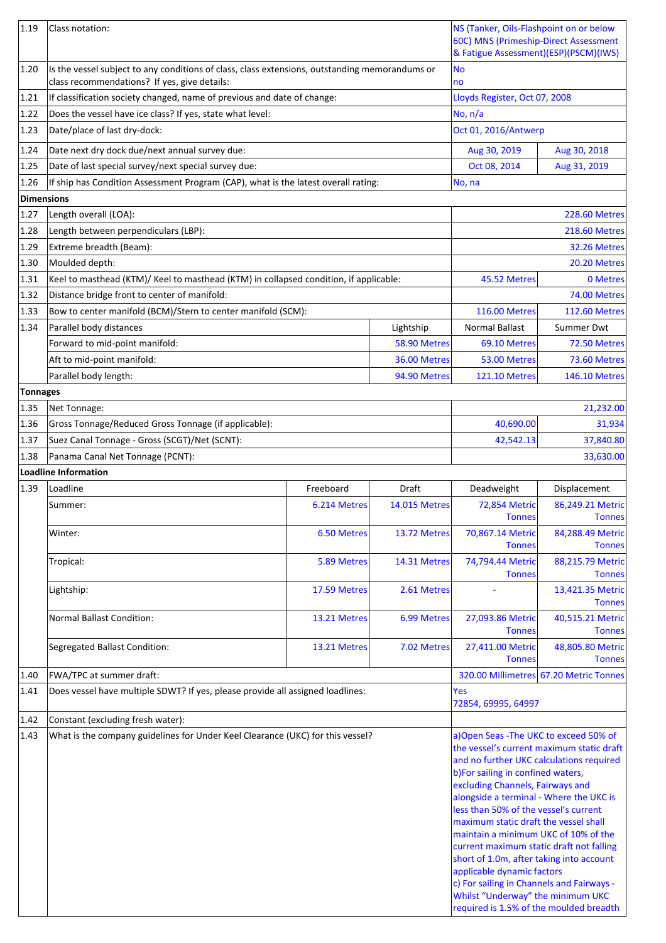| 1.19            | Class notation:                                                                                                                                |              |                      | NS (Tanker, Oils-Flashpoint on or below<br>60C) MNS (Primeship-Direct Assessment<br>& Fatigue Assessment)(ESP)(PSCM)(IWS)                                                                                                                                                                                                                                                                                                                                                                                                                   |                                        |
|-----------------|------------------------------------------------------------------------------------------------------------------------------------------------|--------------|----------------------|---------------------------------------------------------------------------------------------------------------------------------------------------------------------------------------------------------------------------------------------------------------------------------------------------------------------------------------------------------------------------------------------------------------------------------------------------------------------------------------------------------------------------------------------|----------------------------------------|
| 1.20            | Is the vessel subject to any conditions of class, class extensions, outstanding memorandums or<br>class recommendations? If yes, give details: |              |                      | No<br>no                                                                                                                                                                                                                                                                                                                                                                                                                                                                                                                                    |                                        |
| 1.21            | If classification society changed, name of previous and date of change:                                                                        |              |                      | Lloyds Register, Oct 07, 2008                                                                                                                                                                                                                                                                                                                                                                                                                                                                                                               |                                        |
| 1.22            | Does the vessel have ice class? If yes, state what level:                                                                                      |              |                      | No, n/a                                                                                                                                                                                                                                                                                                                                                                                                                                                                                                                                     |                                        |
| 1.23            | Date/place of last dry-dock:                                                                                                                   |              |                      | Oct 01, 2016/Antwerp                                                                                                                                                                                                                                                                                                                                                                                                                                                                                                                        |                                        |
| 1.24            | Date next dry dock due/next annual survey due:                                                                                                 |              |                      | Aug 30, 2019                                                                                                                                                                                                                                                                                                                                                                                                                                                                                                                                | Aug 30, 2018                           |
| 1.25            | Date of last special survey/next special survey due:                                                                                           |              |                      | Oct 08, 2014                                                                                                                                                                                                                                                                                                                                                                                                                                                                                                                                | Aug 31, 2019                           |
| 1.26            | If ship has Condition Assessment Program (CAP), what is the latest overall rating:                                                             |              |                      | No, na                                                                                                                                                                                                                                                                                                                                                                                                                                                                                                                                      |                                        |
| Dimensions      |                                                                                                                                                |              |                      |                                                                                                                                                                                                                                                                                                                                                                                                                                                                                                                                             |                                        |
| 1.27            | Length overall (LOA):                                                                                                                          |              |                      |                                                                                                                                                                                                                                                                                                                                                                                                                                                                                                                                             | <b>228.60 Metres</b>                   |
| 1.28            | Length between perpendiculars (LBP):                                                                                                           |              |                      |                                                                                                                                                                                                                                                                                                                                                                                                                                                                                                                                             | <b>218.60 Metres</b>                   |
| 1.29            | Extreme breadth (Beam):                                                                                                                        |              |                      |                                                                                                                                                                                                                                                                                                                                                                                                                                                                                                                                             | 32.26 Metres                           |
| 1.30            | Moulded depth:                                                                                                                                 |              |                      |                                                                                                                                                                                                                                                                                                                                                                                                                                                                                                                                             | 20.20 Metres                           |
| 1.31            | Keel to masthead (KTM)/ Keel to masthead (KTM) in collapsed condition, if applicable:                                                          |              |                      | 45.52 Metres                                                                                                                                                                                                                                                                                                                                                                                                                                                                                                                                | 0 Metres                               |
| 1.32            | Distance bridge front to center of manifold:                                                                                                   |              |                      |                                                                                                                                                                                                                                                                                                                                                                                                                                                                                                                                             | 74.00 Metres                           |
| 1.33            | Bow to center manifold (BCM)/Stern to center manifold (SCM):                                                                                   |              |                      | <b>116.00 Metres</b>                                                                                                                                                                                                                                                                                                                                                                                                                                                                                                                        | <b>112.60 Metres</b>                   |
| 1.34            | Parallel body distances                                                                                                                        |              | Lightship            | <b>Normal Ballast</b>                                                                                                                                                                                                                                                                                                                                                                                                                                                                                                                       | <b>Summer Dwt</b>                      |
|                 | Forward to mid-point manifold:                                                                                                                 |              | 58.90 Metres         | 69.10 Metres                                                                                                                                                                                                                                                                                                                                                                                                                                                                                                                                | 72.50 Metres                           |
|                 | Aft to mid-point manifold:                                                                                                                     |              | 36.00 Metres         | 53.00 Metres                                                                                                                                                                                                                                                                                                                                                                                                                                                                                                                                | 73.60 Metres                           |
|                 | Parallel body length:                                                                                                                          |              | 94.90 Metres         | <b>121.10 Metres</b>                                                                                                                                                                                                                                                                                                                                                                                                                                                                                                                        | <b>146.10 Metres</b>                   |
| <b>Tonnages</b> |                                                                                                                                                |              |                      |                                                                                                                                                                                                                                                                                                                                                                                                                                                                                                                                             |                                        |
| 1.35            | Net Tonnage:                                                                                                                                   |              |                      |                                                                                                                                                                                                                                                                                                                                                                                                                                                                                                                                             | 21,232.00                              |
| 1.36            | Gross Tonnage/Reduced Gross Tonnage (if applicable):                                                                                           |              |                      | 40,690.00                                                                                                                                                                                                                                                                                                                                                                                                                                                                                                                                   | 31,934                                 |
| 1.37            | Suez Canal Tonnage - Gross (SCGT)/Net (SCNT):                                                                                                  |              |                      | 42,542.13                                                                                                                                                                                                                                                                                                                                                                                                                                                                                                                                   | 37,840.80                              |
| 1.38            | Panama Canal Net Tonnage (PCNT):                                                                                                               |              |                      |                                                                                                                                                                                                                                                                                                                                                                                                                                                                                                                                             | 33,630.00                              |
|                 | Loadline Information                                                                                                                           |              |                      |                                                                                                                                                                                                                                                                                                                                                                                                                                                                                                                                             |                                        |
| 1.39            | Loadline                                                                                                                                       | Freeboard    | Draft                | Deadweight                                                                                                                                                                                                                                                                                                                                                                                                                                                                                                                                  | Displacement                           |
|                 | Summer:                                                                                                                                        | 6.214 Metres | <b>14.015 Metres</b> | 72,854 Metric<br><b>Tonnes</b>                                                                                                                                                                                                                                                                                                                                                                                                                                                                                                              | 86,249.21 Metric<br><b>Tonnes</b>      |
|                 | Winter:                                                                                                                                        | 6.50 Metres  | 13.72 Metres         | 70,867.14 Metric<br><b>Tonnes</b>                                                                                                                                                                                                                                                                                                                                                                                                                                                                                                           | 84,288.49 Metric<br><b>Tonnes</b>      |
|                 | Tropical:                                                                                                                                      | 5.89 Metres  | 14.31 Metres         | 74,794.44 Metric<br><b>Tonnes</b>                                                                                                                                                                                                                                                                                                                                                                                                                                                                                                           | 88,215.79 Metric<br><b>Tonnes</b>      |
|                 | Lightship:                                                                                                                                     | 17.59 Metres | 2.61 Metres          |                                                                                                                                                                                                                                                                                                                                                                                                                                                                                                                                             | 13,421.35 Metric<br><b>Tonnes</b>      |
|                 | <b>Normal Ballast Condition:</b>                                                                                                               | 13.21 Metres | 6.99 Metres          | 27,093.86 Metric<br><b>Tonnes</b>                                                                                                                                                                                                                                                                                                                                                                                                                                                                                                           | 40,515.21 Metric<br><b>Tonnes</b>      |
|                 | Segregated Ballast Condition:                                                                                                                  | 13.21 Metres | 7.02 Metres          | 27,411.00 Metric<br><b>Tonnes</b>                                                                                                                                                                                                                                                                                                                                                                                                                                                                                                           | 48,805.80 Metric<br><b>Tonnes</b>      |
| 1.40            | FWA/TPC at summer draft:                                                                                                                       |              |                      |                                                                                                                                                                                                                                                                                                                                                                                                                                                                                                                                             | 320.00 Millimetres 67.20 Metric Tonnes |
| 1.41            | Does vessel have multiple SDWT? If yes, please provide all assigned loadlines:                                                                 |              |                      | Yes<br>72854, 69995, 64997                                                                                                                                                                                                                                                                                                                                                                                                                                                                                                                  |                                        |
| 1.42            | Constant (excluding fresh water):                                                                                                              |              |                      |                                                                                                                                                                                                                                                                                                                                                                                                                                                                                                                                             |                                        |
| 1.43            | What is the company guidelines for Under Keel Clearance (UKC) for this vessel?                                                                 |              |                      | a) Open Seas - The UKC to exceed 50% of                                                                                                                                                                                                                                                                                                                                                                                                                                                                                                     |                                        |
|                 |                                                                                                                                                |              |                      | the vessel's current maximum static draft<br>and no further UKC calculations required<br>b)For sailing in confined waters,<br>excluding Channels, Fairways and<br>alongside a terminal - Where the UKC is<br>less than 50% of the vessel's current<br>maximum static draft the vessel shall<br>maintain a minimum UKC of 10% of the<br>current maximum static draft not falling<br>short of 1.0m, after taking into account<br>applicable dynamic factors<br>c) For sailing in Channels and Fairways -<br>Whilst "Underway" the minimum UKC |                                        |
|                 |                                                                                                                                                |              |                      | required is 1.5% of the moulded breadth                                                                                                                                                                                                                                                                                                                                                                                                                                                                                                     |                                        |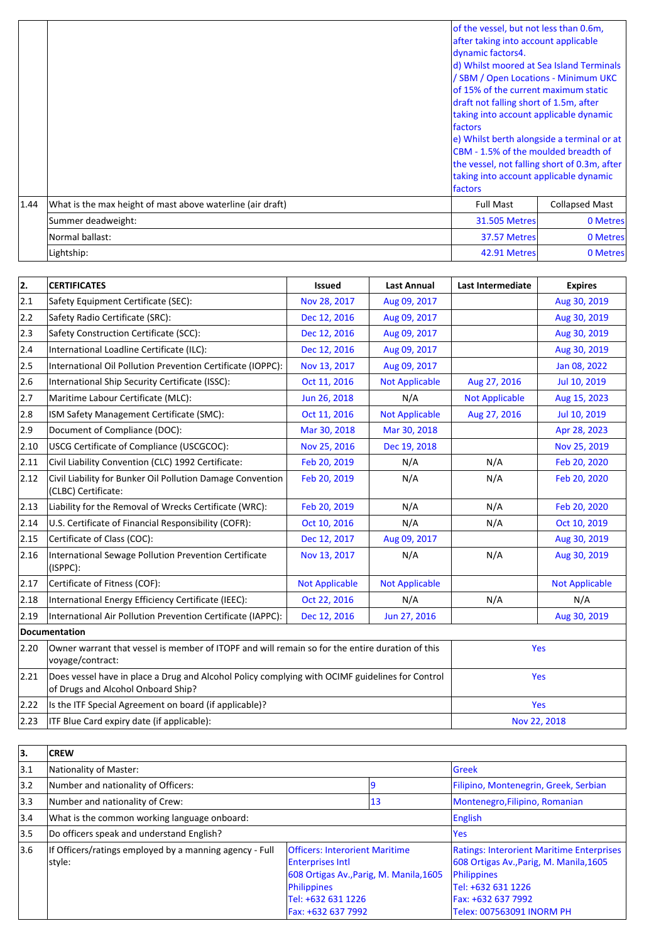|      |                                                            | of the vessel, but not less than 0.6m,<br>after taking into account applicable<br>dynamic factors4.<br>d) Whilst moored at Sea Island Terminals<br>/ SBM / Open Locations - Minimum UKC<br>lof 15% of the current maximum static<br>draft not falling short of 1.5m, after<br>taking into account applicable dynamic<br><i><u><b>Ifactors</b></u></i><br>e) Whilst berth alongside a terminal or at<br><b>ICBM</b> - 1.5% of the moulded breadth of<br>the vessel, not falling short of 0.3m, after<br>taking into account applicable dynamic<br><b>Ifactors</b> |                       |
|------|------------------------------------------------------------|------------------------------------------------------------------------------------------------------------------------------------------------------------------------------------------------------------------------------------------------------------------------------------------------------------------------------------------------------------------------------------------------------------------------------------------------------------------------------------------------------------------------------------------------------------------|-----------------------|
| 1.44 | What is the max height of mast above waterline (air draft) | <b>Full Mast</b>                                                                                                                                                                                                                                                                                                                                                                                                                                                                                                                                                 | <b>Collapsed Mast</b> |
|      | Summer deadweight:                                         | <b>31.505 Metres</b>                                                                                                                                                                                                                                                                                                                                                                                                                                                                                                                                             | 0 Metres              |
|      | Normal ballast:                                            | 37.57 Metres                                                                                                                                                                                                                                                                                                                                                                                                                                                                                                                                                     | 0 Metres              |
|      | Lightship:                                                 | 42.91 Metres                                                                                                                                                                                                                                                                                                                                                                                                                                                                                                                                                     | 0 Metres              |

| 2.   | <b>CERTIFICATES</b>                                                                                                                   | <b>Issued</b>         | <b>Last Annual</b>    | Last Intermediate     | <b>Expires</b>        |
|------|---------------------------------------------------------------------------------------------------------------------------------------|-----------------------|-----------------------|-----------------------|-----------------------|
| 2.1  | Safety Equipment Certificate (SEC):                                                                                                   | Nov 28, 2017          | Aug 09, 2017          |                       | Aug 30, 2019          |
| 2.2  | Safety Radio Certificate (SRC):                                                                                                       | Dec 12, 2016          | Aug 09, 2017          |                       | Aug 30, 2019          |
| 2.3  | Safety Construction Certificate (SCC):                                                                                                | Dec 12, 2016          | Aug 09, 2017          |                       | Aug 30, 2019          |
| 2.4  | International Loadline Certificate (ILC):                                                                                             | Dec 12, 2016          | Aug 09, 2017          |                       | Aug 30, 2019          |
| 2.5  | International Oil Pollution Prevention Certificate (IOPPC):                                                                           | Nov 13, 2017          | Aug 09, 2017          |                       | Jan 08, 2022          |
| 2.6  | International Ship Security Certificate (ISSC):                                                                                       | Oct 11, 2016          | <b>Not Applicable</b> | Aug 27, 2016          | Jul 10, 2019          |
| 2.7  | Maritime Labour Certificate (MLC):                                                                                                    | Jun 26, 2018          | N/A                   | <b>Not Applicable</b> | Aug 15, 2023          |
| 2.8  | ISM Safety Management Certificate (SMC):                                                                                              | Oct 11, 2016          | <b>Not Applicable</b> | Aug 27, 2016          | Jul 10, 2019          |
| 2.9  | Document of Compliance (DOC):                                                                                                         | Mar 30, 2018          | Mar 30, 2018          |                       | Apr 28, 2023          |
| 2.10 | USCG Certificate of Compliance (USCGCOC):                                                                                             | Nov 25, 2016          | Dec 19, 2018          |                       | Nov 25, 2019          |
| 2.11 | Civil Liability Convention (CLC) 1992 Certificate:                                                                                    | Feb 20, 2019          | N/A                   | N/A                   | Feb 20, 2020          |
| 2.12 | Civil Liability for Bunker Oil Pollution Damage Convention<br>(CLBC) Certificate:                                                     | Feb 20, 2019          | N/A                   | N/A                   | Feb 20, 2020          |
| 2.13 | Liability for the Removal of Wrecks Certificate (WRC):                                                                                | Feb 20, 2019          | N/A                   | N/A                   | Feb 20, 2020          |
| 2.14 | U.S. Certificate of Financial Responsibility (COFR):                                                                                  | Oct 10, 2016          | N/A                   | N/A                   | Oct 10, 2019          |
| 2.15 | Certificate of Class (COC):                                                                                                           | Dec 12, 2017          | Aug 09, 2017          |                       | Aug 30, 2019          |
| 2.16 | International Sewage Pollution Prevention Certificate<br>(ISPPC):                                                                     | Nov 13, 2017          | N/A                   | N/A                   | Aug 30, 2019          |
| 2.17 | Certificate of Fitness (COF):                                                                                                         | <b>Not Applicable</b> | <b>Not Applicable</b> |                       | <b>Not Applicable</b> |
| 2.18 | International Energy Efficiency Certificate (IEEC):                                                                                   | Oct 22, 2016          | N/A                   | N/A                   | N/A                   |
| 2.19 | International Air Pollution Prevention Certificate (IAPPC):                                                                           | Dec 12, 2016          | Jun 27, 2016          |                       | Aug 30, 2019          |
|      | Documentation                                                                                                                         |                       |                       |                       |                       |
| 2.20 | Owner warrant that vessel is member of ITOPF and will remain so for the entire duration of this<br>voyage/contract:                   |                       |                       | Yes                   |                       |
| 2.21 | Does vessel have in place a Drug and Alcohol Policy complying with OCIMF guidelines for Control<br>of Drugs and Alcohol Onboard Ship? |                       |                       |                       | Yes                   |
| 2.22 | Is the ITF Special Agreement on board (if applicable)?                                                                                |                       |                       |                       | Yes                   |
| 2.23 | ITF Blue Card expiry date (if applicable):                                                                                            |                       |                       |                       | Nov 22, 2018          |

| lз.           | <b>CREW</b>                                             |                                         |         |                                                  |
|---------------|---------------------------------------------------------|-----------------------------------------|---------|--------------------------------------------------|
| $ 3.1\rangle$ | Nationality of Master:                                  |                                         |         | <b>Greek</b>                                     |
| $ 3.2\rangle$ | Number and nationality of Officers:                     |                                         |         | Filipino, Montenegrin, Greek, Serbian            |
| $ 3.3\rangle$ | Number and nationality of Crew:                         |                                         | 13      | Montenegro, Filipino, Romanian                   |
| 3.4           | What is the common working language onboard:            |                                         | English |                                                  |
| 3.5           | Do officers speak and understand English?               |                                         | lYes    |                                                  |
| 3.6           | If Officers/ratings employed by a manning agency - Full | <b>Officers: Interorient Maritime</b>   |         | <b>Ratings: Interorient Maritime Enterprises</b> |
|               | style:                                                  | <b>Enterprises Intl</b>                 |         | 608 Ortigas Av., Parig, M. Manila, 1605          |
|               |                                                         | 608 Ortigas Av., Parig, M. Manila, 1605 |         | Philippines                                      |
|               |                                                         | Philippines                             |         | Tel: +632 631 1226                               |
|               |                                                         | Tel: +632 631 1226                      |         | Fax: +632 637 7992                               |
|               |                                                         | Fax: +632 637 7992                      |         | Telex: 007563091 INORM PH                        |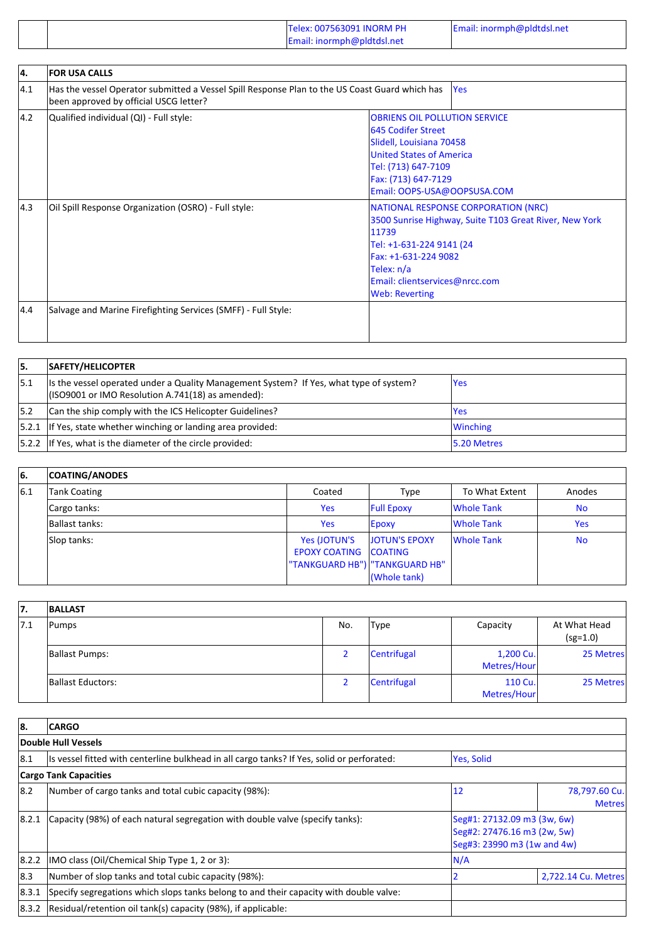|  | Telex: 007563091 INORM PH<br>Email: inormph@pldtdsl.net | Email: inormph@pldtdsl.net |
|--|---------------------------------------------------------|----------------------------|
|--|---------------------------------------------------------|----------------------------|

| 4.  | <b>FOR USA CALLS</b>                                                                                                                     |                                                                                                                                                                                                                                            |  |
|-----|------------------------------------------------------------------------------------------------------------------------------------------|--------------------------------------------------------------------------------------------------------------------------------------------------------------------------------------------------------------------------------------------|--|
| 4.1 | Has the vessel Operator submitted a Vessel Spill Response Plan to the US Coast Guard which has<br>been approved by official USCG letter? | <b>Yes</b>                                                                                                                                                                                                                                 |  |
| 4.2 | Qualified individual (QI) - Full style:                                                                                                  | <b>OBRIENS OIL POLLUTION SERVICE</b><br>645 Codifer Street<br>Slidell, Louisiana 70458<br><b>United States of America</b><br>Tel: (713) 647-7109<br>Fax: (713) 647-7129<br>Email: OOPS-USA@OOPSUSA.COM                                     |  |
| 4.3 | Oil Spill Response Organization (OSRO) - Full style:                                                                                     | <b>NATIONAL RESPONSE CORPORATION (NRC)</b><br>3500 Sunrise Highway, Suite T103 Great River, New York<br>11739<br>Tel: +1-631-224 9141 (24<br>Fax: +1-631-224 9082<br>Telex: n/a<br>Email: clientservices@nrcc.com<br><b>Web: Reverting</b> |  |
| 4.4 | Salvage and Marine Firefighting Services (SMFF) - Full Style:                                                                            |                                                                                                                                                                                                                                            |  |

| 15. | SAFETY/HELICOPTER                                                                                                                            |                 |
|-----|----------------------------------------------------------------------------------------------------------------------------------------------|-----------------|
| 5.1 | Its the vessel operated under a Quality Management System? If Yes, what type of system?<br>(ISO9001 or IMO Resolution A.741(18) as amended): | <b>Yes</b>      |
| 5.2 | Can the ship comply with the ICS Helicopter Guidelines?                                                                                      | <b>Yes</b>      |
|     | $ 5.2.1 $ If Yes, state whether winching or landing area provided:                                                                           | <b>Winching</b> |
|     | [5.2.2 If Yes, what is the diameter of the circle provided:                                                                                  | 15.20 Metres    |

| 66. | <b>COATING/ANODES</b> |                                  |                   |                   |           |
|-----|-----------------------|----------------------------------|-------------------|-------------------|-----------|
| 6.1 | <b>Tank Coating</b>   | Coated                           | Type              | To What Extent    | Anodes    |
|     | Cargo tanks:          | <b>Yes</b>                       | <b>Full Epoxy</b> | Whole Tank        | <b>No</b> |
|     | Ballast tanks:        | <b>Yes</b>                       | <b>Epoxy</b>      | Whole Tank        | Yes       |
|     | Slop tanks:           | Yes (JOTUN'S                     | JOTUN'S EPOXY     | <b>Whole Tank</b> | <b>No</b> |
|     |                       | <b>EPOXY COATING COATING</b>     |                   |                   |           |
|     |                       | "TANKGUARD HB")   "TANKGUARD HB" |                   |                   |           |
|     |                       |                                  | (Whole tank)      |                   |           |

| 17.  | <b>BALLAST</b>    |     |             |                          |                            |
|------|-------------------|-----|-------------|--------------------------|----------------------------|
| 17.1 | Pumps             | No. | Type        | Capacity                 | At What Head<br>$(sg=1.0)$ |
|      | Ballast Pumps:    |     | Centrifugal | 1,200 Cu.<br>Metres/Hour | 25 Metres                  |
|      | Ballast Eductors: |     | Centrifugal | 110 Cu.<br>Metres/Hour   | 25 Metres                  |

| 88.   | <b>CARGO</b>                                                                               |                                                                                           |                                |  |  |
|-------|--------------------------------------------------------------------------------------------|-------------------------------------------------------------------------------------------|--------------------------------|--|--|
|       | Double Hull Vessels                                                                        |                                                                                           |                                |  |  |
| 18.1  | Is vessel fitted with centerline bulkhead in all cargo tanks? If Yes, solid or perforated: | Yes, Solid                                                                                |                                |  |  |
|       | <b>Cargo Tank Capacities</b>                                                               |                                                                                           |                                |  |  |
| 8.2   | Number of cargo tanks and total cubic capacity (98%):                                      | 12                                                                                        | 78,797.60 Cu.<br><b>Metres</b> |  |  |
| 8.2.1 | Capacity (98%) of each natural segregation with double valve (specify tanks):              | Seg#1: 27132.09 m3 (3w, 6w)<br>Seg#2: 27476.16 m3 (2w, 5w)<br>Seg#3: 23990 m3 (1w and 4w) |                                |  |  |
| 8.2.2 | IMO class (Oil/Chemical Ship Type 1, 2 or 3):                                              | N/A                                                                                       |                                |  |  |
| 18.3  | Number of slop tanks and total cubic capacity (98%):                                       |                                                                                           | 2,722.14 Cu. Metres            |  |  |
| 8.3.1 | Specify segregations which slops tanks belong to and their capacity with double valve:     |                                                                                           |                                |  |  |
| 8.3.2 | Residual/retention oil tank(s) capacity (98%), if applicable:                              |                                                                                           |                                |  |  |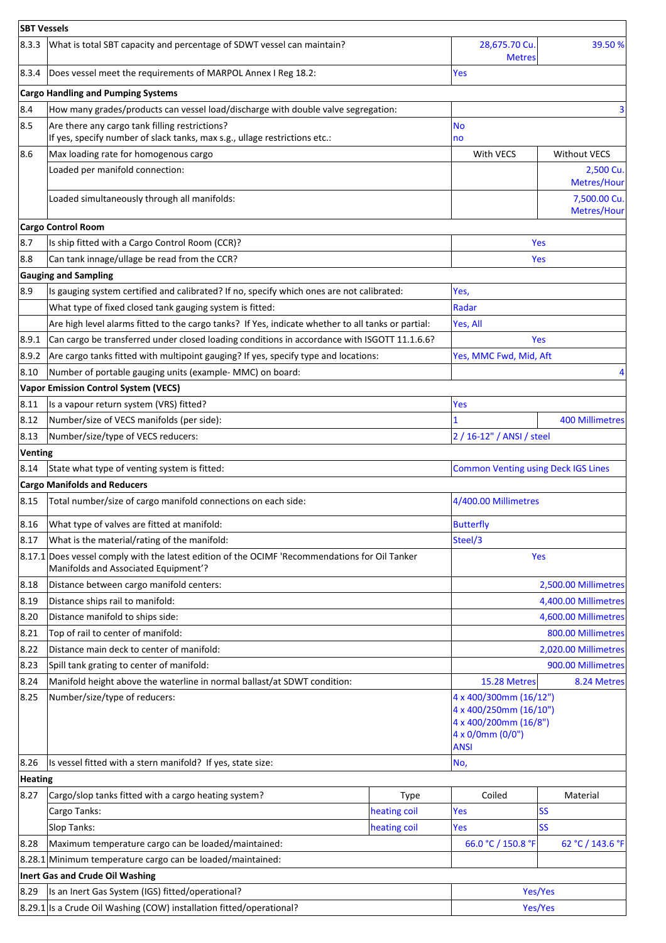|                | <b>SBT Vessels</b>                                                                                                                     |              |                                                                                                              |                             |  |  |
|----------------|----------------------------------------------------------------------------------------------------------------------------------------|--------------|--------------------------------------------------------------------------------------------------------------|-----------------------------|--|--|
| 8.3.3          | What is total SBT capacity and percentage of SDWT vessel can maintain?                                                                 |              | 28,675.70 Cu.<br><b>Metres</b>                                                                               | 39.50 %                     |  |  |
| 8.3.4          | Does vessel meet the requirements of MARPOL Annex I Reg 18.2:                                                                          |              | Yes                                                                                                          |                             |  |  |
|                | <b>Cargo Handling and Pumping Systems</b>                                                                                              |              |                                                                                                              |                             |  |  |
| 8.4            | How many grades/products can vessel load/discharge with double valve segregation:                                                      |              |                                                                                                              | 3                           |  |  |
| 8.5            | Are there any cargo tank filling restrictions?<br>If yes, specify number of slack tanks, max s.g., ullage restrictions etc.:           |              | <b>No</b><br>no                                                                                              |                             |  |  |
| 8.6            | Max loading rate for homogenous cargo                                                                                                  |              | With VECS                                                                                                    | <b>Without VECS</b>         |  |  |
|                | Loaded per manifold connection:                                                                                                        |              |                                                                                                              | 2,500 Cu.<br>Metres/Hour    |  |  |
|                | Loaded simultaneously through all manifolds:                                                                                           |              |                                                                                                              | 7,500.00 Cu.<br>Metres/Hour |  |  |
|                | <b>Cargo Control Room</b>                                                                                                              |              |                                                                                                              |                             |  |  |
| 8.7            | Is ship fitted with a Cargo Control Room (CCR)?                                                                                        |              |                                                                                                              | Yes                         |  |  |
| 8.8            | Can tank innage/ullage be read from the CCR?                                                                                           |              |                                                                                                              | <b>Yes</b>                  |  |  |
|                | <b>Gauging and Sampling</b>                                                                                                            |              |                                                                                                              |                             |  |  |
| 8.9            | Is gauging system certified and calibrated? If no, specify which ones are not calibrated:                                              |              | Yes,                                                                                                         |                             |  |  |
|                | What type of fixed closed tank gauging system is fitted:                                                                               |              | Radar                                                                                                        |                             |  |  |
|                | Are high level alarms fitted to the cargo tanks? If Yes, indicate whether to all tanks or partial:                                     |              | Yes, All                                                                                                     |                             |  |  |
| 8.9.1          | Can cargo be transferred under closed loading conditions in accordance with ISGOTT 11.1.6.6?                                           |              |                                                                                                              | <b>Yes</b>                  |  |  |
| 8.9.2          | Are cargo tanks fitted with multipoint gauging? If yes, specify type and locations:                                                    |              | Yes, MMC Fwd, Mid, Aft                                                                                       |                             |  |  |
| 8.10           | Number of portable gauging units (example- MMC) on board:                                                                              |              |                                                                                                              | 4                           |  |  |
|                | <b>Vapor Emission Control System (VECS)</b>                                                                                            |              |                                                                                                              |                             |  |  |
| 8.11           | Is a vapour return system (VRS) fitted?                                                                                                |              | Yes                                                                                                          |                             |  |  |
| 8.12           | Number/size of VECS manifolds (per side):                                                                                              |              |                                                                                                              | <b>400 Millimetres</b>      |  |  |
| 8.13           | Number/size/type of VECS reducers:                                                                                                     |              | 2 / 16-12" / ANSI / steel                                                                                    |                             |  |  |
| <b>Venting</b> |                                                                                                                                        |              |                                                                                                              |                             |  |  |
| 8.14           | State what type of venting system is fitted:                                                                                           |              | <b>Common Venting using Deck IGS Lines</b>                                                                   |                             |  |  |
|                | <b>Cargo Manifolds and Reducers</b>                                                                                                    |              |                                                                                                              |                             |  |  |
| 8.15           | Total number/size of cargo manifold connections on each side:                                                                          |              | 4/400.00 Millimetres                                                                                         |                             |  |  |
| 8.16           | What type of valves are fitted at manifold:                                                                                            |              | <b>Butterfly</b>                                                                                             |                             |  |  |
| 8.17           | What is the material/rating of the manifold:                                                                                           |              | Steel/3                                                                                                      |                             |  |  |
|                | 8.17.1 Does vessel comply with the latest edition of the OCIMF 'Recommendations for Oil Tanker<br>Manifolds and Associated Equipment'? |              |                                                                                                              | Yes                         |  |  |
| 8.18           | Distance between cargo manifold centers:                                                                                               |              |                                                                                                              | 2,500.00 Millimetres        |  |  |
| 8.19           | Distance ships rail to manifold:                                                                                                       |              |                                                                                                              | 4,400.00 Millimetres        |  |  |
| 8.20           | Distance manifold to ships side:                                                                                                       |              |                                                                                                              | 4,600.00 Millimetres        |  |  |
| 8.21           | Top of rail to center of manifold:                                                                                                     |              |                                                                                                              | 800.00 Millimetres          |  |  |
| 8.22           | Distance main deck to center of manifold:                                                                                              |              |                                                                                                              | 2,020.00 Millimetres        |  |  |
| 8.23           | Spill tank grating to center of manifold:                                                                                              |              |                                                                                                              | 900.00 Millimetres          |  |  |
| 8.24           | Manifold height above the waterline in normal ballast/at SDWT condition:                                                               |              | 15.28 Metres                                                                                                 | 8.24 Metres                 |  |  |
| 8.25           | Number/size/type of reducers:                                                                                                          |              | 4 x 400/300mm (16/12")<br>4 x 400/250mm (16/10")<br>4 x 400/200mm (16/8")<br>4 x 0/0mm (0/0")<br><b>ANSI</b> |                             |  |  |
| 8.26           | Is vessel fitted with a stern manifold? If yes, state size:                                                                            |              | No,                                                                                                          |                             |  |  |
| <b>Heating</b> |                                                                                                                                        |              |                                                                                                              |                             |  |  |
| 8.27           | Cargo/slop tanks fitted with a cargo heating system?                                                                                   | <b>Type</b>  | Coiled                                                                                                       | Material                    |  |  |
|                | Cargo Tanks:                                                                                                                           | heating coil | Yes                                                                                                          | <b>SS</b>                   |  |  |
|                | Slop Tanks:<br>heating coil                                                                                                            |              | Yes                                                                                                          | <b>SS</b>                   |  |  |
| 8.28           | Maximum temperature cargo can be loaded/maintained:                                                                                    |              | 66.0 °C / 150.8 °F                                                                                           | 62 °C / 143.6 °F            |  |  |
|                | 8.28.1 Minimum temperature cargo can be loaded/maintained:                                                                             |              |                                                                                                              |                             |  |  |
|                | Inert Gas and Crude Oil Washing                                                                                                        |              |                                                                                                              |                             |  |  |
| 8.29           | Is an Inert Gas System (IGS) fitted/operational?                                                                                       |              | Yes/Yes                                                                                                      |                             |  |  |
|                | 8.29.1 Is a Crude Oil Washing (COW) installation fitted/operational?                                                                   |              |                                                                                                              | Yes/Yes                     |  |  |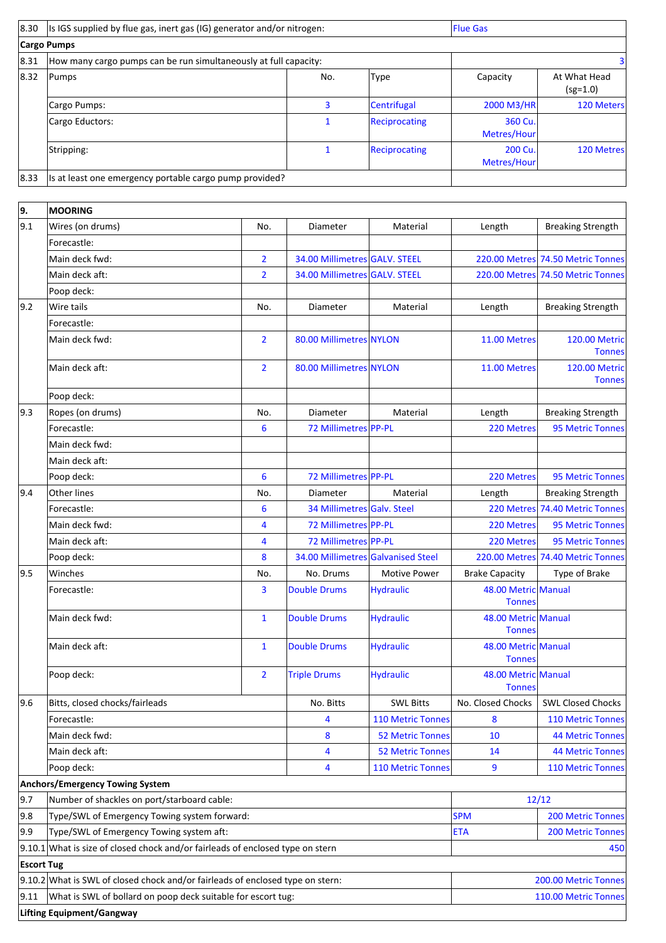| 8.30 | Is IGS supplied by flue gas, inert gas (IG) generator and/or nitrogen: |     |               | <b>Flue Gas</b>        |                            |  |
|------|------------------------------------------------------------------------|-----|---------------|------------------------|----------------------------|--|
|      | Cargo Pumps                                                            |     |               |                        |                            |  |
| 8.31 | How many cargo pumps can be run simultaneously at full capacity:       |     |               |                        | з                          |  |
| 8.32 | Pumps                                                                  | No. | Type          | Capacity               | At What Head<br>$(sg=1.0)$ |  |
|      | Cargo Pumps:                                                           | 3   | Centrifugal   | 2000 M3/HR             | 120 Meters                 |  |
|      | Cargo Eductors:                                                        |     | Reciprocating | 360 Cu.<br>Metres/Hour |                            |  |
|      | Stripping:                                                             |     | Reciprocating | 200 Cu.<br>Metres/Hour | 120 Metres                 |  |
| 8.33 | Is at least one emergency portable cargo pump provided?                |     |               |                        |                            |  |

| 9.                | <b>MOORING</b>                                                                   |                |                                    |                         |                                      |                                       |
|-------------------|----------------------------------------------------------------------------------|----------------|------------------------------------|-------------------------|--------------------------------------|---------------------------------------|
| 9.1               | Wires (on drums)                                                                 | No.            | Diameter                           | Material                | Length                               | <b>Breaking Strength</b>              |
|                   | Forecastle:                                                                      |                |                                    |                         |                                      |                                       |
|                   | Main deck fwd:                                                                   | $\overline{2}$ | 34.00 Millimetres GALV. STEEL      |                         |                                      | 220.00 Metres 74.50 Metric Tonnes     |
|                   | Main deck aft:                                                                   | $\overline{2}$ | 34.00 Millimetres GALV. STEEL      |                         |                                      | 220.00 Metres 74.50 Metric Tonnes     |
|                   | Poop deck:                                                                       |                |                                    |                         |                                      |                                       |
| 9.2               | Wire tails                                                                       | No.            | Diameter                           | Material                | Length                               | <b>Breaking Strength</b>              |
|                   | Forecastle:                                                                      |                |                                    |                         |                                      |                                       |
|                   | Main deck fwd:                                                                   | $\overline{2}$ | 80.00 Millimetres NYLON            |                         | 11.00 Metres                         | <b>120.00 Metric</b><br><b>Tonnes</b> |
|                   | Main deck aft:                                                                   | $\overline{2}$ | 80.00 Millimetres NYLON            |                         | 11.00 Metres                         | <b>120.00 Metric</b><br><b>Tonnes</b> |
|                   | Poop deck:                                                                       |                |                                    |                         |                                      |                                       |
| 9.3               | Ropes (on drums)                                                                 | No.            | Diameter                           | Material                | Length                               | <b>Breaking Strength</b>              |
|                   | Forecastle:                                                                      | 6              | 72 Millimetres PP-PL               |                         | 220 Metres                           | <b>95 Metric Tonnes</b>               |
|                   | Main deck fwd:                                                                   |                |                                    |                         |                                      |                                       |
|                   | Main deck aft:                                                                   |                |                                    |                         |                                      |                                       |
|                   | Poop deck:                                                                       | 6              | 72 Millimetres PP-PL               |                         | 220 Metres                           | 95 Metric Tonnes                      |
| 9.4               | Other lines                                                                      | No.            | Diameter                           | Material                | Length                               | <b>Breaking Strength</b>              |
|                   | Forecastle:                                                                      | 6              | 34 Millimetres Galv. Steel         |                         |                                      | 220 Metres 74.40 Metric Tonnes        |
|                   | Main deck fwd:                                                                   | 4              | 72 Millimetres PP-PL               |                         | 220 Metres                           | 95 Metric Tonnes                      |
|                   | Main deck aft:                                                                   | 4              | 72 Millimetres PP-PL               |                         | 220 Metres                           | 95 Metric Tonnes                      |
|                   | Poop deck:                                                                       | 8              | 34.00 Millimetres Galvanised Steel |                         |                                      | 220.00 Metres 74.40 Metric Tonnes     |
| 9.5               | Winches                                                                          | No.            | No. Drums                          | <b>Motive Power</b>     | <b>Brake Capacity</b>                | Type of Brake                         |
|                   | Forecastle:                                                                      | 3              | <b>Double Drums</b>                | <b>Hydraulic</b>        | 48.00 Metric Manual<br><b>Tonnes</b> |                                       |
|                   | Main deck fwd:                                                                   | $\mathbf{1}$   | <b>Double Drums</b>                | <b>Hydraulic</b>        | 48.00 Metric Manual<br><b>Tonnes</b> |                                       |
|                   | Main deck aft:                                                                   | $\mathbf{1}$   | <b>Double Drums</b>                | <b>Hydraulic</b>        | 48.00 Metric Manual<br><b>Tonnes</b> |                                       |
|                   | Poop deck:                                                                       | $\overline{2}$ | <b>Triple Drums</b>                | <b>Hydraulic</b>        | 48.00 Metric Manual<br><b>Tonnes</b> |                                       |
| 9.6               | Bitts, closed chocks/fairleads                                                   |                | No. Bitts                          | <b>SWL Bitts</b>        | No. Closed Chocks                    | <b>SWL Closed Chocks</b>              |
|                   | Forecastle:                                                                      |                | 4                                  | 110 Metric Tonnes       | 8                                    | <b>110 Metric Tonnes</b>              |
|                   | Main deck fwd:                                                                   |                | 8                                  | <b>52 Metric Tonnes</b> | 10                                   | <b>44 Metric Tonnes</b>               |
|                   | Main deck aft:                                                                   |                | 4                                  | <b>52 Metric Tonnes</b> | 14                                   | <b>44 Metric Tonnes</b>               |
|                   | Poop deck:                                                                       |                | 4                                  | 110 Metric Tonnes       | 9                                    | <b>110 Metric Tonnes</b>              |
|                   | <b>Anchors/Emergency Towing System</b>                                           |                |                                    |                         |                                      |                                       |
| 9.7               | Number of shackles on port/starboard cable:                                      |                |                                    |                         |                                      | 12/12                                 |
| 9.8               | Type/SWL of Emergency Towing system forward:                                     |                |                                    | <b>SPM</b>              | <b>200 Metric Tonnes</b>             |                                       |
| 9.9               | Type/SWL of Emergency Towing system aft:                                         |                |                                    | <b>ETA</b>              | <b>200 Metric Tonnes</b>             |                                       |
|                   | $9.10.1$ What is size of closed chock and/or fairleads of enclosed type on stern |                |                                    |                         | 450                                  |                                       |
| <b>Escort Tug</b> |                                                                                  |                |                                    |                         |                                      |                                       |
|                   | 9.10.2 What is SWL of closed chock and/or fairleads of enclosed type on stern:   |                |                                    |                         | 200.00 Metric Tonnes                 |                                       |
| 9.11              | What is SWL of bollard on poop deck suitable for escort tug:                     |                |                                    |                         |                                      | 110.00 Metric Tonnes                  |
|                   | <b>Lifting Equipment/Gangway</b>                                                 |                |                                    |                         |                                      |                                       |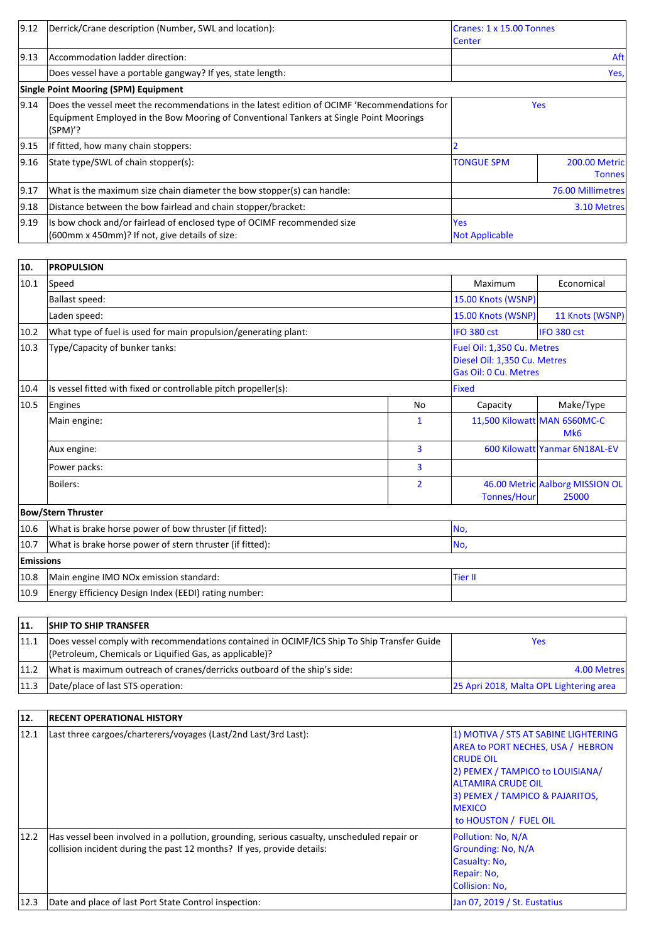| 9.12           | Derrick/Crane description (Number, SWL and location):                                                                                                                                             | Cranes: 1 x 15.00 Tonnes<br><b>ICenter</b> |                                        |  |
|----------------|---------------------------------------------------------------------------------------------------------------------------------------------------------------------------------------------------|--------------------------------------------|----------------------------------------|--|
| 9.13           | Accommodation ladder direction:                                                                                                                                                                   |                                            | Aft                                    |  |
|                | Does vessel have a portable gangway? If yes, state length:                                                                                                                                        |                                            | Yes,                                   |  |
|                | <b>Single Point Mooring (SPM) Equipment</b>                                                                                                                                                       |                                            |                                        |  |
| 9.14           | Does the vessel meet the recommendations in the latest edition of OCIMF 'Recommendations for<br>Equipment Employed in the Bow Mooring of Conventional Tankers at Single Point Moorings<br>(SPM)'? | <b>Yes</b>                                 |                                        |  |
| 9.15           | If fitted, how many chain stoppers:                                                                                                                                                               |                                            |                                        |  |
| 9.16           | State type/SWL of chain stopper(s):                                                                                                                                                               | <b>TONGUE SPM</b>                          | <b>200.00 Metricl</b><br><b>Tonnes</b> |  |
| 9.17           | What is the maximum size chain diameter the bow stopper(s) can handle:                                                                                                                            | 76.00 Millimetres                          |                                        |  |
| 9.18           | Distance between the bow fairlead and chain stopper/bracket:                                                                                                                                      | 3.10 Metres                                |                                        |  |
| $ 9.19\rangle$ | Is bow chock and/or fairlead of enclosed type of OCIMF recommended size<br>(600mm x 450mm)? If not, give details of size:                                                                         | <b>Yes</b><br><b>Not Applicable</b>        |                                        |  |

| 10.              | <b>PROPULSION</b>                                               |                    |                                                                                     |                                                 |
|------------------|-----------------------------------------------------------------|--------------------|-------------------------------------------------------------------------------------|-------------------------------------------------|
| 10.1             | Speed                                                           | Maximum            | Economical                                                                          |                                                 |
|                  | <b>Ballast speed:</b>                                           | 15.00 Knots (WSNP) |                                                                                     |                                                 |
|                  | Laden speed:                                                    | 15.00 Knots (WSNP) | 11 Knots (WSNP)                                                                     |                                                 |
| 10.2             | What type of fuel is used for main propulsion/generating plant: |                    | IFO 380 cst                                                                         | IFO 380 cst                                     |
| 10.3             | Type/Capacity of bunker tanks:                                  |                    | Fuel Oil: 1,350 Cu. Metres<br>Diesel Oil: 1,350 Cu. Metres<br>Gas Oil: 0 Cu. Metres |                                                 |
| 10.4             | Is vessel fitted with fixed or controllable pitch propeller(s): |                    | <b>Fixed</b>                                                                        |                                                 |
| 10.5             | Engines                                                         | <b>No</b>          | Capacity                                                                            | Make/Type                                       |
|                  | Main engine:                                                    | $\mathbf{1}$       |                                                                                     | 11,500 Kilowatt MAN 6S60MC-C<br>Mk <sub>6</sub> |
|                  | Aux engine:                                                     | $\overline{3}$     |                                                                                     | 600 Kilowatt Yanmar 6N18AL-EV                   |
|                  | Power packs:                                                    | $\overline{3}$     |                                                                                     |                                                 |
|                  | <b>Boilers:</b>                                                 | $\overline{2}$     | Tonnes/Hour                                                                         | 46.00 Metric Aalborg MISSION OL<br>25000        |
|                  | <b>Bow/Stern Thruster</b>                                       |                    |                                                                                     |                                                 |
| 10.6             | What is brake horse power of bow thruster (if fitted):          | No,                |                                                                                     |                                                 |
| 10.7             | What is brake horse power of stern thruster (if fitted):        | INo,               |                                                                                     |                                                 |
| <b>Emissions</b> |                                                                 |                    |                                                                                     |                                                 |
| 10.8             | Main engine IMO NOx emission standard:                          | <b>Tier II</b>     |                                                                                     |                                                 |
| 10.9             | Energy Efficiency Design Index (EEDI) rating number:            |                    |                                                                                     |                                                 |

| 11.  | <b>SHIP TO SHIP TRANSFER</b>                                                                                                                          |                                         |
|------|-------------------------------------------------------------------------------------------------------------------------------------------------------|-----------------------------------------|
| 11.1 | Does vessel comply with recommendations contained in OCIMF/ICS Ship To Ship Transfer Guide<br>(Petroleum, Chemicals or Liquified Gas, as applicable)? | Yes                                     |
| 11.2 | What is maximum outreach of cranes/derricks outboard of the ship's side:                                                                              | 4.00 Metres                             |
| 11.3 | Date/place of last STS operation:                                                                                                                     | 25 Apri 2018, Malta OPL Lightering area |

| 12.  | <b>RECENT OPERATIONAL HISTORY</b>                                                                                                                                     |                                                                                                                                                                                                                                               |
|------|-----------------------------------------------------------------------------------------------------------------------------------------------------------------------|-----------------------------------------------------------------------------------------------------------------------------------------------------------------------------------------------------------------------------------------------|
| 12.1 | Last three cargoes/charterers/voyages (Last/2nd Last/3rd Last):                                                                                                       | 1) MOTIVA / STS AT SABINE LIGHTERING<br><b>AREA to PORT NECHES, USA / HEBRON</b><br><b>ICRUDE OIL</b><br>2) PEMEX / TAMPICO to LOUISIANA/<br>ALTAMIRA CRUDE OIL<br>3) PEMEX / TAMPICO & PAJARITOS,<br><b>IMEXICO</b><br>to HOUSTON / FUEL OIL |
| 12.2 | Has vessel been involved in a pollution, grounding, serious casualty, unscheduled repair or<br>collision incident during the past 12 months? If yes, provide details: | Pollution: No, N/A<br>Grounding: No, N/A<br>Casualty: No.<br>Repair: No,<br>Collision: No,                                                                                                                                                    |
| 12.3 | Date and place of last Port State Control inspection:                                                                                                                 | Jan 07, 2019 / St. Eustatius                                                                                                                                                                                                                  |